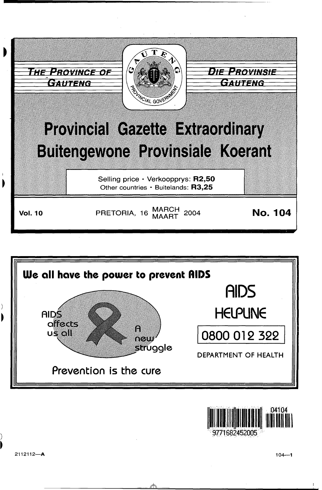





71682452005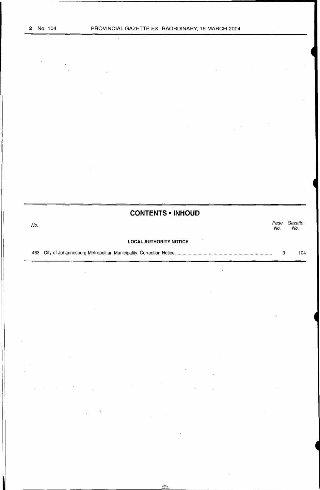# **CONTENTS • INHOUD**

# No.<br>No. Page Gazette Page Gazet<br>No. No. **LOCAL AUTHORITY NOTICE**

463 City of Johannesburg Metropolitan Municipality: Correction Notice ............................................................................. . 3 104

 $\lambda_{\bullet}^{\prime}$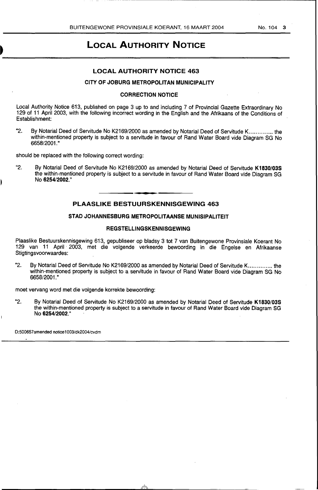--------------------------------,

# **LOCAL AUTHORITY NOTICE**

# **LOCAL AUTHORITY NOTICE 463**

## **CITY OF JOBURG METROPOLITAN MUNICIPALITY**

### **CORRECTION NOTICE**

Local Authority Notice 613, published on page 3 up to and including 7 of Provincial Gazette Extraordinary No 129 of 11 April 2003, with the following incorrect wording in the English and the Afrikaans of the Conditions of Establishment:

"2. By Notarial Deed of Servitude No K2169/2000 as amended by Notarial Deed of Servitude K............... the within-mentioned property is subject to a servitude in favour of Rand Water Board vide Diagram SG No 6658/2001."

should be replaced with the following correct wording:

"2. By Notarial Deed of Servitude No K2169/2000 as amended by Notarial Deed of Servitude **K1830/03S**  the within-mentioned property is subject to a servitude in favour of Rand Water Board vide Diagram SG No **6254/2002."** 

### **PLAASLIKE BESTUURSKENNISGEWING 463**

### **STAD JOHANNESBURG METROPOLITAANSE MUNISIPALITEIT**

#### **REGSTELLINGSKENNISGEWING**

Plaaslike Bestuurskennisgewing 613, gepubliseer op bladsy 3 tot 7 van Buitengewone Provinsiale Koerant No 129 van 11 April · 2003, met die volgende verkeerde bewoording in die Engelse en Afrikaanse Stigtingsvoorwaardes:

"2. Bv Notarial Deed of Servitude No K2169/2000 as amended by Notarial Deed of Servitude K............... the within-mentioned property is subject to a servitude in favour of Rand Water Board vide Diagram SG No 6658/2001."

moet vervang word met die volgende korrekte bewoording:

"2. By Notarial Deed of Servitude No K2169/2000 as amended by Notarial Deed of Servitude **K1830/03S**  the within-mentioned property is subject to a servitude in favour of Rand Water Board vide Diagram SG No **6254/2002."** 

D:500657amended notice1 003/dk2004/cvdm